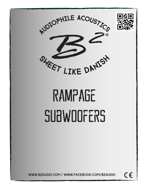



## **RAMPAGE** subwoofers

www.b2audio.com / www.facebook.com/b2audio

 $C\in$